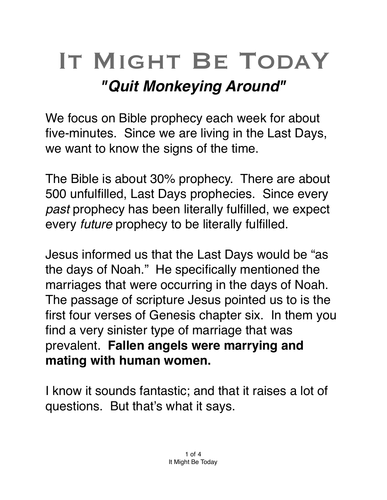## IT MIGHT BE TODAY *"Quit Monkeying Around"*

We focus on Bible prophecy each week for about five-minutes. Since we are living in the Last Days, we want to know the signs of the time.

The Bible is about 30% prophecy. There are about 500 unfulfilled, Last Days prophecies. Since every *past* prophecy has been literally fulfilled, we expect every *future* prophecy to be literally fulfilled.

Jesus informed us that the Last Days would be "as the days of Noah." He specifically mentioned the marriages that were occurring in the days of Noah. The passage of scripture Jesus pointed us to is the first four verses of Genesis chapter six. In them you find a very sinister type of marriage that was prevalent. **Fallen angels were marrying and mating with human women.**

I know it sounds fantastic; and that it raises a lot of questions. But that's what it says.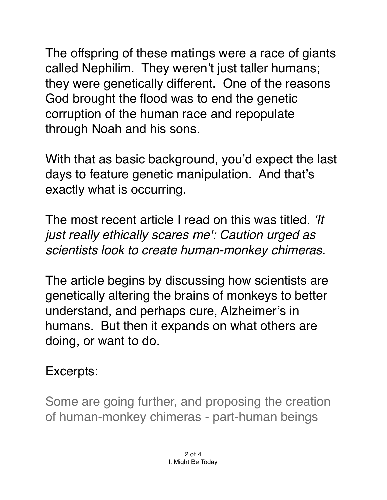The offspring of these matings were a race of giants called Nephilim. They weren't just taller humans; they were genetically different. One of the reasons God brought the flood was to end the genetic corruption of the human race and repopulate through Noah and his sons.

With that as basic background, you'd expect the last days to feature genetic manipulation. And that's exactly what is occurring.

The most recent article I read on this was titled. *'It just really ethically scares me': Caution urged as scientists look to create human-monkey chimeras.* 

The article begins by discussing how scientists are genetically altering the brains of monkeys to better understand, and perhaps cure, Alzheimer's in humans. But then it expands on what others are doing, or want to do.

## Excerpts:

Some are going further, and proposing the creation of human-monkey chimeras - part-human beings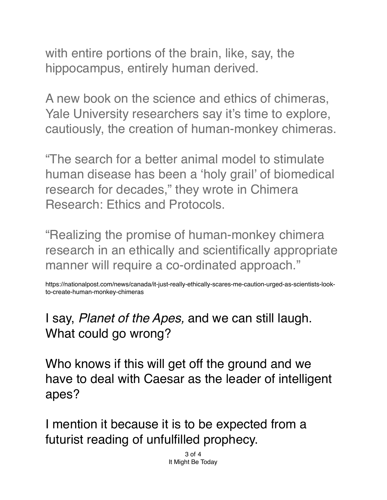with entire portions of the brain, like, say, the hippocampus, entirely human derived.

A new book on the science and ethics of chimeras, Yale University researchers say it's time to explore, cautiously, the creation of human-monkey chimeras.

"The search for a better animal model to stimulate human disease has been a 'holy grail' of biomedical research for decades," they wrote in Chimera Research: Ethics and Protocols.

"Realizing the promise of human-monkey chimera research in an ethically and scientifically appropriate manner will require a co-ordinated approach."

https://nationalpost.com/news/canada/it-just-really-ethically-scares-me-caution-urged-as-scientists-lookto-create-human-monkey-chimeras

I say, *Planet of the Apes,* and we can still laugh. What could go wrong?

Who knows if this will get off the ground and we have to deal with Caesar as the leader of intelligent apes?

I mention it because it is to be expected from a futurist reading of unfulfilled prophecy.